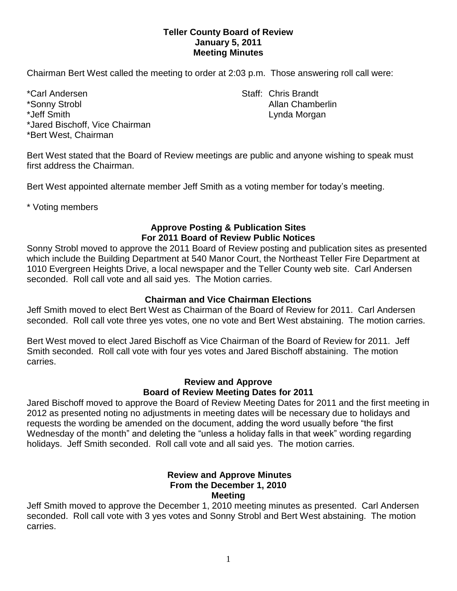## **Teller County Board of Review January 5, 2011 Meeting Minutes**

Chairman Bert West called the meeting to order at 2:03 p.m. Those answering roll call were:

\*Carl Andersen North States and States States States States States States States States States States States States States States States States States States States States States States States States States States States S \*Sonny Strobl **Allan Chamberlin** \*Jeff Smith **Lynda Morgan** \*Jared Bischoff, Vice Chairman \*Bert West, Chairman

Bert West stated that the Board of Review meetings are public and anyone wishing to speak must first address the Chairman.

Bert West appointed alternate member Jeff Smith as a voting member for today's meeting.

\* Voting members

## **Approve Posting & Publication Sites For 2011 Board of Review Public Notices**

Sonny Strobl moved to approve the 2011 Board of Review posting and publication sites as presented which include the Building Department at 540 Manor Court, the Northeast Teller Fire Department at 1010 Evergreen Heights Drive, a local newspaper and the Teller County web site. Carl Andersen seconded. Roll call vote and all said yes. The Motion carries.

# **Chairman and Vice Chairman Elections**

Jeff Smith moved to elect Bert West as Chairman of the Board of Review for 2011. Carl Andersen seconded. Roll call vote three yes votes, one no vote and Bert West abstaining. The motion carries.

Bert West moved to elect Jared Bischoff as Vice Chairman of the Board of Review for 2011. Jeff Smith seconded. Roll call vote with four yes votes and Jared Bischoff abstaining. The motion carries.

## **Review and Approve Board of Review Meeting Dates for 2011**

Jared Bischoff moved to approve the Board of Review Meeting Dates for 2011 and the first meeting in 2012 as presented noting no adjustments in meeting dates will be necessary due to holidays and requests the wording be amended on the document, adding the word usually before "the first Wednesday of the month" and deleting the "unless a holiday falls in that week" wording regarding holidays. Jeff Smith seconded. Roll call vote and all said yes. The motion carries.

#### **Review and Approve Minutes From the December 1, 2010 Meeting**

Jeff Smith moved to approve the December 1, 2010 meeting minutes as presented. Carl Andersen seconded. Roll call vote with 3 yes votes and Sonny Strobl and Bert West abstaining. The motion carries.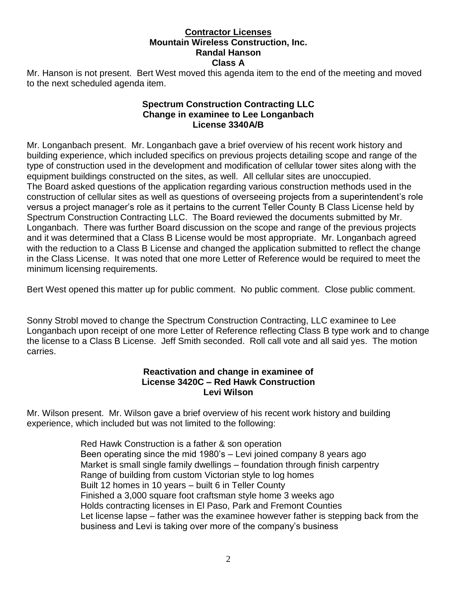#### **Contractor Licenses Mountain Wireless Construction, Inc. Randal Hanson Class A**

Mr. Hanson is not present. Bert West moved this agenda item to the end of the meeting and moved to the next scheduled agenda item.

## **Spectrum Construction Contracting LLC Change in examinee to Lee Longanbach License 3340A/B**

Mr. Longanbach present. Mr. Longanbach gave a brief overview of his recent work history and building experience, which included specifics on previous projects detailing scope and range of the type of construction used in the development and modification of cellular tower sites along with the equipment buildings constructed on the sites, as well. All cellular sites are unoccupied. The Board asked questions of the application regarding various construction methods used in the construction of cellular sites as well as questions of overseeing projects from a superintendent's role versus a project manager's role as it pertains to the current Teller County B Class License held by Spectrum Construction Contracting LLC. The Board reviewed the documents submitted by Mr. Longanbach. There was further Board discussion on the scope and range of the previous projects and it was determined that a Class B License would be most appropriate. Mr. Longanbach agreed with the reduction to a Class B License and changed the application submitted to reflect the change in the Class License. It was noted that one more Letter of Reference would be required to meet the minimum licensing requirements.

Bert West opened this matter up for public comment. No public comment. Close public comment.

Sonny Strobl moved to change the Spectrum Construction Contracting, LLC examinee to Lee Longanbach upon receipt of one more Letter of Reference reflecting Class B type work and to change the license to a Class B License. Jeff Smith seconded. Roll call vote and all said yes. The motion carries.

## **Reactivation and change in examinee of License 3420C – Red Hawk Construction Levi Wilson**

Mr. Wilson present. Mr. Wilson gave a brief overview of his recent work history and building experience, which included but was not limited to the following:

> Red Hawk Construction is a father & son operation Been operating since the mid 1980's – Levi joined company 8 years ago Market is small single family dwellings – foundation through finish carpentry Range of building from custom Victorian style to log homes Built 12 homes in 10 years – built 6 in Teller County Finished a 3,000 square foot craftsman style home 3 weeks ago Holds contracting licenses in El Paso, Park and Fremont Counties Let license lapse – father was the examinee however father is stepping back from the business and Levi is taking over more of the company's business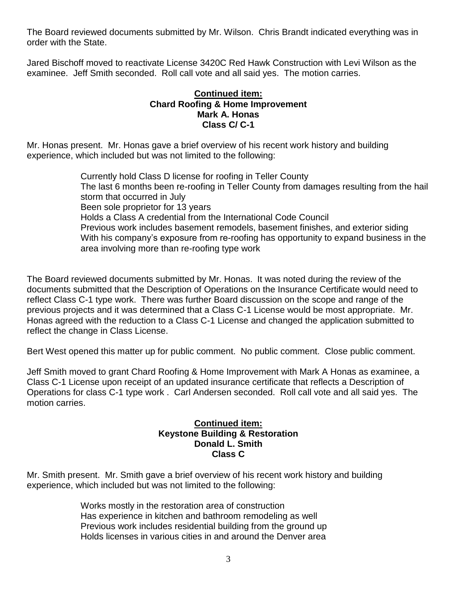The Board reviewed documents submitted by Mr. Wilson. Chris Brandt indicated everything was in order with the State.

Jared Bischoff moved to reactivate License 3420C Red Hawk Construction with Levi Wilson as the examinee. Jeff Smith seconded. Roll call vote and all said yes. The motion carries.

#### **Continued item: Chard Roofing & Home Improvement Mark A. Honas Class C/ C-1**

Mr. Honas present. Mr. Honas gave a brief overview of his recent work history and building experience, which included but was not limited to the following:

> Currently hold Class D license for roofing in Teller County The last 6 months been re-roofing in Teller County from damages resulting from the hail storm that occurred in July Been sole proprietor for 13 years Holds a Class A credential from the International Code Council Previous work includes basement remodels, basement finishes, and exterior siding With his company's exposure from re-roofing has opportunity to expand business in the area involving more than re-roofing type work

The Board reviewed documents submitted by Mr. Honas.It was noted during the review of the documents submitted that the Description of Operations on the Insurance Certificate would need to reflect Class C-1 type work. There was further Board discussion on the scope and range of the previous projects and it was determined that a Class C-1 License would be most appropriate. Mr. Honas agreed with the reduction to a Class C-1 License and changed the application submitted to reflect the change in Class License.

Bert West opened this matter up for public comment. No public comment. Close public comment.

Jeff Smith moved to grant Chard Roofing & Home Improvement with Mark A Honas as examinee, a Class C-1 License upon receipt of an updated insurance certificate that reflects a Description of Operations for class C-1 type work . Carl Andersen seconded. Roll call vote and all said yes. The motion carries.

## **Continued item: Keystone Building & Restoration Donald L. Smith Class C**

Mr. Smith present. Mr. Smith gave a brief overview of his recent work history and building experience, which included but was not limited to the following:

> Works mostly in the restoration area of construction Has experience in kitchen and bathroom remodeling as well Previous work includes residential building from the ground up Holds licenses in various cities in and around the Denver area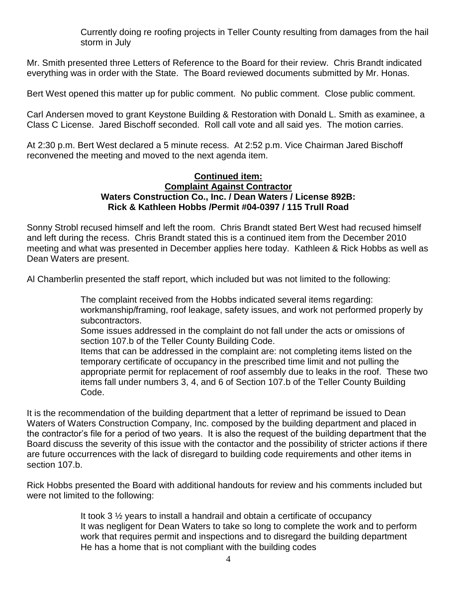Currently doing re roofing projects in Teller County resulting from damages from the hail storm in July

Mr. Smith presented three Letters of Reference to the Board for their review. Chris Brandt indicated everything was in order with the State. The Board reviewed documents submitted by Mr. Honas.

Bert West opened this matter up for public comment. No public comment. Close public comment.

Carl Andersen moved to grant Keystone Building & Restoration with Donald L. Smith as examinee, a Class C License. Jared Bischoff seconded. Roll call vote and all said yes. The motion carries.

At 2:30 p.m. Bert West declared a 5 minute recess. At 2:52 p.m. Vice Chairman Jared Bischoff reconvened the meeting and moved to the next agenda item.

#### **Continued item: Complaint Against Contractor Waters Construction Co., Inc. / Dean Waters / License 892B: Rick & Kathleen Hobbs /Permit #04-0397 / 115 Trull Road**

Sonny Strobl recused himself and left the room. Chris Brandt stated Bert West had recused himself and left during the recess. Chris Brandt stated this is a continued item from the December 2010 meeting and what was presented in December applies here today. Kathleen & Rick Hobbs as well as Dean Waters are present.

Al Chamberlin presented the staff report, which included but was not limited to the following:

The complaint received from the Hobbs indicated several items regarding: workmanship/framing, roof leakage, safety issues, and work not performed properly by subcontractors.

Some issues addressed in the complaint do not fall under the acts or omissions of section 107.b of the Teller County Building Code.

Items that can be addressed in the complaint are: not completing items listed on the temporary certificate of occupancy in the prescribed time limit and not pulling the appropriate permit for replacement of roof assembly due to leaks in the roof. These two items fall under numbers 3, 4, and 6 of Section 107.b of the Teller County Building Code.

It is the recommendation of the building department that a letter of reprimand be issued to Dean Waters of Waters Construction Company, Inc. composed by the building department and placed in the contractor's file for a period of two years. It is also the request of the building department that the Board discuss the severity of this issue with the contactor and the possibility of stricter actions if there are future occurrences with the lack of disregard to building code requirements and other items in section 107.b.

Rick Hobbs presented the Board with additional handouts for review and his comments included but were not limited to the following:

> It took 3 ½ years to install a handrail and obtain a certificate of occupancy It was negligent for Dean Waters to take so long to complete the work and to perform work that requires permit and inspections and to disregard the building department He has a home that is not compliant with the building codes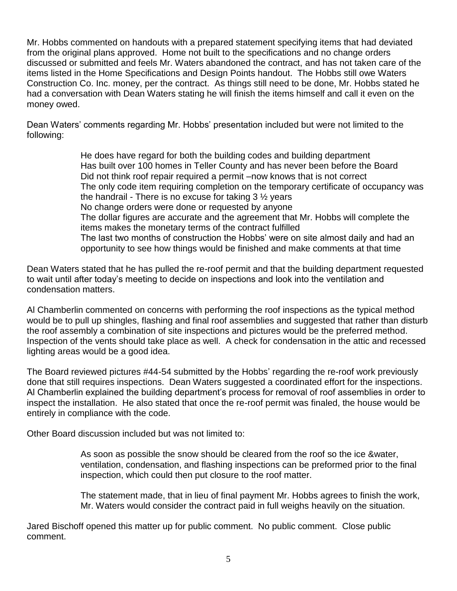Mr. Hobbs commented on handouts with a prepared statement specifying items that had deviated from the original plans approved. Home not built to the specifications and no change orders discussed or submitted and feels Mr. Waters abandoned the contract, and has not taken care of the items listed in the Home Specifications and Design Points handout. The Hobbs still owe Waters Construction Co. Inc. money, per the contract. As things still need to be done, Mr. Hobbs stated he had a conversation with Dean Waters stating he will finish the items himself and call it even on the money owed.

Dean Waters' comments regarding Mr. Hobbs' presentation included but were not limited to the following:

> He does have regard for both the building codes and building department Has built over 100 homes in Teller County and has never been before the Board Did not think roof repair required a permit –now knows that is not correct The only code item requiring completion on the temporary certificate of occupancy was the handrail - There is no excuse for taking  $3\frac{1}{2}$  years No change orders were done or requested by anyone The dollar figures are accurate and the agreement that Mr. Hobbs will complete the items makes the monetary terms of the contract fulfilled The last two months of construction the Hobbs' were on site almost daily and had an opportunity to see how things would be finished and make comments at that time

Dean Waters stated that he has pulled the re-roof permit and that the building department requested to wait until after today's meeting to decide on inspections and look into the ventilation and condensation matters.

Al Chamberlin commented on concerns with performing the roof inspections as the typical method would be to pull up shingles, flashing and final roof assemblies and suggested that rather than disturb the roof assembly a combination of site inspections and pictures would be the preferred method. Inspection of the vents should take place as well. A check for condensation in the attic and recessed lighting areas would be a good idea.

The Board reviewed pictures #44-54 submitted by the Hobbs' regarding the re-roof work previously done that still requires inspections. Dean Waters suggested a coordinated effort for the inspections. Al Chamberlin explained the building department's process for removal of roof assemblies in order to inspect the installation. He also stated that once the re-roof permit was finaled, the house would be entirely in compliance with the code.

Other Board discussion included but was not limited to:

As soon as possible the snow should be cleared from the roof so the ice &water, ventilation, condensation, and flashing inspections can be preformed prior to the final inspection, which could then put closure to the roof matter.

The statement made, that in lieu of final payment Mr. Hobbs agrees to finish the work, Mr. Waters would consider the contract paid in full weighs heavily on the situation.

Jared Bischoff opened this matter up for public comment. No public comment. Close public comment.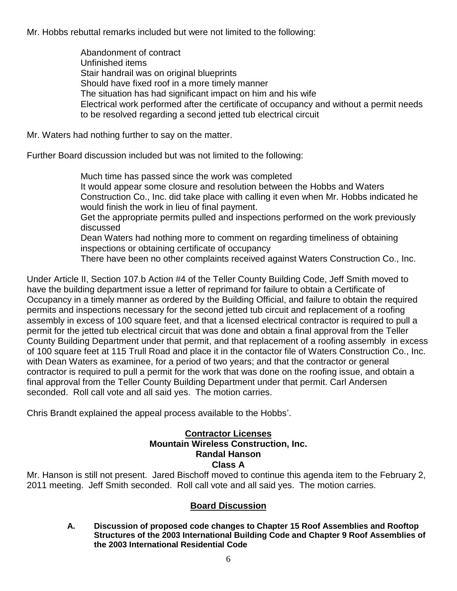Mr. Hobbs rebuttal remarks included but were not limited to the following:

Abandonment of contract Unfinished items Stair handrail was on original blueprints Should have fixed roof in a more timely manner The situation has had significant impact on him and his wife Electrical work performed after the certificate of occupancy and without a permit needs to be resolved regarding a second jetted tub electrical circuit

Mr. Waters had nothing further to say on the matter.

Further Board discussion included but was not limited to the following:

Much time has passed since the work was completed It would appear some closure and resolution between the Hobbs and Waters Construction Co., Inc. did take place with calling it even when Mr. Hobbs indicated he would finish the work in lieu of final payment. Get the appropriate permits pulled and inspections performed on the work previously discussed Dean Waters had nothing more to comment on regarding timeliness of obtaining inspections or obtaining certificate of occupancy There have been no other complaints received against Waters Construction Co., Inc.

Under Article II, Section 107.b Action #4 of the Teller County Building Code, Jeff Smith moved to have the building department issue a letter of reprimand for failure to obtain a Certificate of Occupancy in a timely manner as ordered by the Building Official, and failure to obtain the required permits and inspections necessary for the second jetted tub circuit and replacement of a roofing assembly in excess of 100 square feet, and that a licensed electrical contractor is required to pull a permit for the jetted tub electrical circuit that was done and obtain a final approval from the Teller County Building Department under that permit, and that replacement of a roofing assembly in excess of 100 square feet at 115 Trull Road and place it in the contactor file of Waters Construction Co., Inc. with Dean Waters as examinee, for a period of two years; and that the contractor or general contractor is required to pull a permit for the work that was done on the roofing issue, and obtain a final approval from the Teller County Building Department under that permit. Carl Andersen seconded. Roll call vote and all said yes. The motion carries.

Chris Brandt explained the appeal process available to the Hobbs'.

## **Contractor Licenses Mountain Wireless Construction, Inc. Randal Hanson Class A**

Mr. Hanson is still not present. Jared Bischoff moved to continue this agenda item to the February 2, 2011 meeting. Jeff Smith seconded. Roll call vote and all said yes. The motion carries.

## **Board Discussion**

**A. Discussion of proposed code changes to Chapter 15 Roof Assemblies and Rooftop Structures of the 2003 International Building Code and Chapter 9 Roof Assemblies of the 2003 International Residential Code**